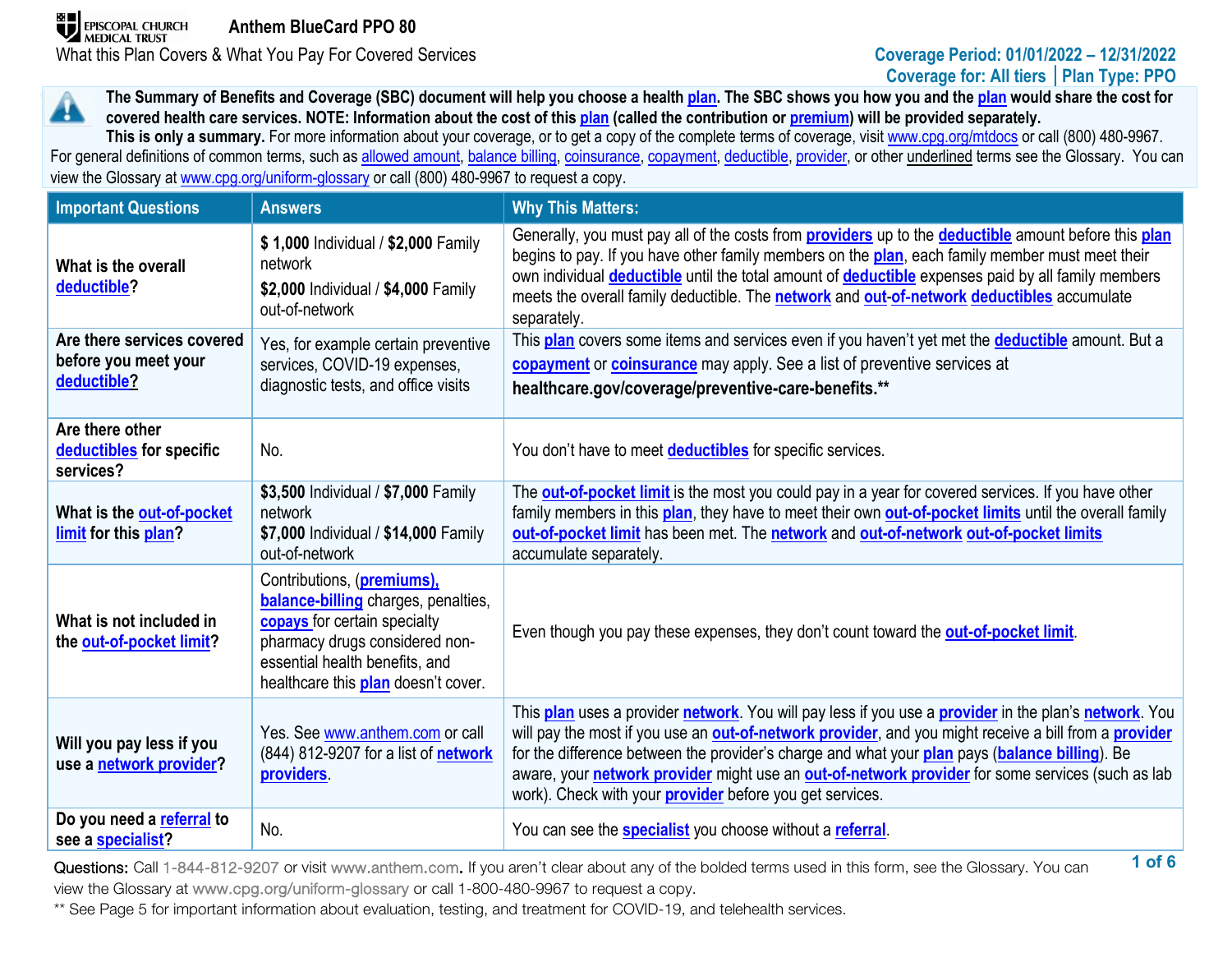# **Coverage for: All tiers │Plan Type: PPO**

**The Summary of Benefits and Coverage (SBC) document will help you choose a health [plan.](https://www.healthcare.gov/sbc-glossary/#plan) The SBC shows you how you and th[e plan](https://www.healthcare.gov/sbc-glossary/#plan) would share the cost for**  44. **covered health care services. NOTE: Information about the cost of this [plan](https://www.healthcare.gov/sbc-glossary/#plan) (called the contribution or [premium\)](https://www.healthcare.gov/sbc-glossary/#premium) will be provided separately.**

This is only a summary. For more information about your coverage, or to get a copy of the complete terms of coverage, visi[t www.cpg.org/mtdocs](http://www.cpg.org/mtdocs) or call (800) 480-9967. For general definitions of common terms, such as [allowed amount,](https://www.healthcare.gov/sbc-glossary/#allowed-amount) [balance billing,](https://www.healthcare.gov/sbc-glossary/#balance-billing) [coinsurance,](https://www.healthcare.gov/sbc-glossary/#coinsurance) [copayment,](https://www.healthcare.gov/sbc-glossary/#copayment) [deductible,](https://www.healthcare.gov/sbc-glossary/#deductible) [provider,](https://www.healthcare.gov/sbc-glossary/#provider) or other underlined terms see the Glossary. You can view the Glossary at www.cpg.org/uniform-glossary or call (800) 480-9967 to request a copy.

| <b>Important Questions</b>                                        | <b>Answers</b>                                                                                                                                                                                                      | <b>Why This Matters:</b>                                                                                                                                                                                                                                                                                                                                                                                                                                                                |
|-------------------------------------------------------------------|---------------------------------------------------------------------------------------------------------------------------------------------------------------------------------------------------------------------|-----------------------------------------------------------------------------------------------------------------------------------------------------------------------------------------------------------------------------------------------------------------------------------------------------------------------------------------------------------------------------------------------------------------------------------------------------------------------------------------|
| What is the overall<br>deductible?                                | \$1,000 Individual / \$2,000 Family<br>network<br>\$2,000 Individual / \$4,000 Family<br>out-of-network                                                                                                             | Generally, you must pay all of the costs from <b>providers</b> up to the <b>deductible</b> amount before this <i>plan</i><br>begins to pay. If you have other family members on the plan, each family member must meet their<br>own individual <b>deductible</b> until the total amount of <b>deductible</b> expenses paid by all family members<br>meets the overall family deductible. The network and out-of-network deductibles accumulate<br>separately.                           |
| Are there services covered<br>before you meet your<br>deductible? | Yes, for example certain preventive<br>services, COVID-19 expenses,<br>diagnostic tests, and office visits                                                                                                          | This plan covers some items and services even if you haven't yet met the deductible amount. But a<br>copayment or coinsurance may apply. See a list of preventive services at<br>healthcare.gov/coverage/preventive-care-benefits.**                                                                                                                                                                                                                                                    |
| Are there other<br>deductibles for specific<br>services?          | No.                                                                                                                                                                                                                 | You don't have to meet <b>deductibles</b> for specific services.                                                                                                                                                                                                                                                                                                                                                                                                                        |
| What is the out-of-pocket<br>limit for this plan?                 | \$3,500 Individual / \$7,000 Family<br>network<br>\$7,000 Individual / \$14,000 Family<br>out-of-network                                                                                                            | The <b>out-of-pocket limit</b> is the most you could pay in a year for covered services. If you have other<br>family members in this plan, they have to meet their own out-of-pocket limits until the overall family<br>out-of-pocket limit has been met. The network and out-of-network out-of-pocket limits<br>accumulate separately.                                                                                                                                                 |
| What is not included in<br>the out-of-pocket limit?               | Contributions, (premiums),<br>balance-billing charges, penalties,<br>copays for certain specialty<br>pharmacy drugs considered non-<br>essential health benefits, and<br>healthcare this <b>plan</b> doesn't cover. | Even though you pay these expenses, they don't count toward the out-of-pocket limit.                                                                                                                                                                                                                                                                                                                                                                                                    |
| Will you pay less if you<br>use a network provider?               | Yes. See www.anthem.com or call<br>(844) 812-9207 for a list of <b>network</b><br>providers.                                                                                                                        | This plan uses a provider network. You will pay less if you use a provider in the plan's network. You<br>will pay the most if you use an out-of-network provider, and you might receive a bill from a provider<br>for the difference between the provider's charge and what your plan pays (balance billing). Be<br>aware, your network provider might use an out-of-network provider for some services (such as lab<br>work). Check with your <b>provider</b> before you get services. |
| Do you need a referral to<br>see a specialist?                    | No.                                                                                                                                                                                                                 | You can see the <b>specialist</b> you choose without a referral.                                                                                                                                                                                                                                                                                                                                                                                                                        |

**1 of 6** Questions: Call 1-844-812-9207 or visit www.anthem.com. If you aren't clear about any of the bolded terms used in this form, see the Glossary. You can view the Glossary at www.cpg.org/uniform-glossary or call 1-800-480-9967 to request a copy.

\*\* See Page 5 for important information about evaluation, testing, and treatment for COVID-19, and telehealth services.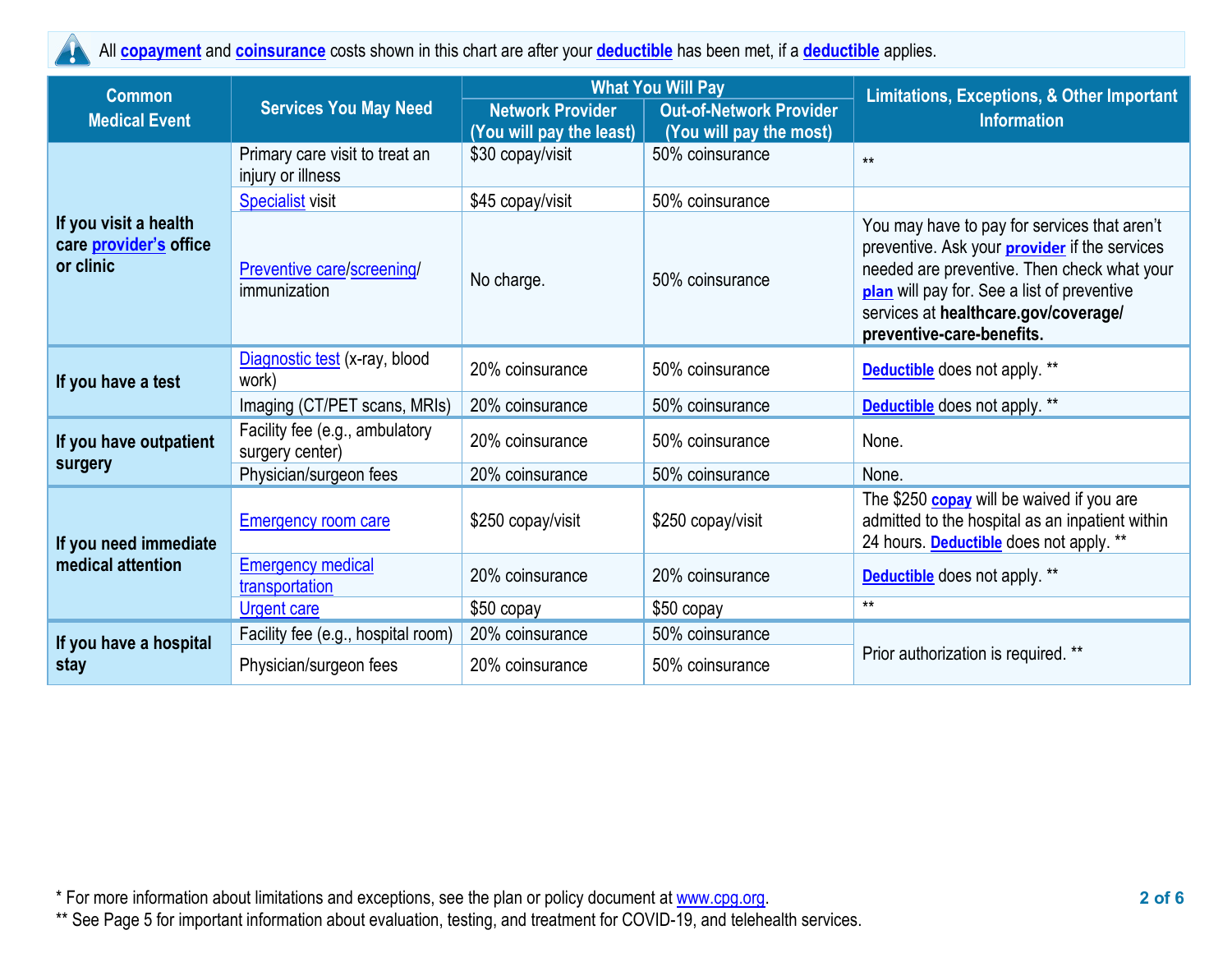All **[copayment](https://www.healthcare.gov/sbc-glossary/#copayment)** and **[coinsurance](https://www.healthcare.gov/sbc-glossary/#coinsurance)** costs shown in this chart are after your **[deductible](https://www.healthcare.gov/sbc-glossary/#deductible)** has been met, if a **[deductible](https://www.healthcare.gov/sbc-glossary/#deductible)** applies. 4

| <b>Common</b>                                                |                                                     |                                                     | <b>What You Will Pay</b>                                  | Limitations, Exceptions, & Other Important                                                                                                                                                                                                                              |  |
|--------------------------------------------------------------|-----------------------------------------------------|-----------------------------------------------------|-----------------------------------------------------------|-------------------------------------------------------------------------------------------------------------------------------------------------------------------------------------------------------------------------------------------------------------------------|--|
| <b>Medical Event</b>                                         | <b>Services You May Need</b>                        | <b>Network Provider</b><br>(You will pay the least) | <b>Out-of-Network Provider</b><br>(You will pay the most) | <b>Information</b>                                                                                                                                                                                                                                                      |  |
|                                                              | Primary care visit to treat an<br>injury or illness | \$30 copay/visit                                    | 50% coinsurance                                           | $**$                                                                                                                                                                                                                                                                    |  |
|                                                              | <b>Specialist visit</b>                             | \$45 copay/visit                                    | 50% coinsurance                                           |                                                                                                                                                                                                                                                                         |  |
| If you visit a health<br>care provider's office<br>or clinic | <b>Preventive care/screening/</b><br>immunization   | No charge.                                          | 50% coinsurance                                           | You may have to pay for services that aren't<br>preventive. Ask your <b>provider</b> if the services<br>needed are preventive. Then check what your<br>plan will pay for. See a list of preventive<br>services at healthcare.gov/coverage/<br>preventive-care-benefits. |  |
| If you have a test                                           | Diagnostic test (x-ray, blood<br>work)              | 20% coinsurance                                     | 50% coinsurance                                           | <b>Deductible</b> does not apply. **                                                                                                                                                                                                                                    |  |
|                                                              | Imaging (CT/PET scans, MRIs)                        | 20% coinsurance                                     | 50% coinsurance                                           | <b>Deductible</b> does not apply. **                                                                                                                                                                                                                                    |  |
| If you have outpatient                                       | Facility fee (e.g., ambulatory<br>surgery center)   | 20% coinsurance                                     | 50% coinsurance                                           | None.                                                                                                                                                                                                                                                                   |  |
| surgery                                                      | Physician/surgeon fees                              | 20% coinsurance                                     | 50% coinsurance                                           | None.                                                                                                                                                                                                                                                                   |  |
| If you need immediate                                        | <b>Emergency room care</b>                          | \$250 copay/visit                                   | \$250 copay/visit                                         | The \$250 <b>copay</b> will be waived if you are<br>admitted to the hospital as an inpatient within<br>24 hours. Deductible does not apply. **                                                                                                                          |  |
| medical attention                                            | <b>Emergency medical</b><br>transportation          | 20% coinsurance                                     | 20% coinsurance                                           | <b>Deductible</b> does not apply. **                                                                                                                                                                                                                                    |  |
|                                                              | <b>Urgent care</b>                                  | \$50 copay                                          | \$50 copay                                                | $**$                                                                                                                                                                                                                                                                    |  |
| If you have a hospital                                       | Facility fee (e.g., hospital room)                  | 20% coinsurance                                     | 50% coinsurance                                           |                                                                                                                                                                                                                                                                         |  |
| stay                                                         | Physician/surgeon fees                              | 20% coinsurance                                     | 50% coinsurance                                           | Prior authorization is required. **                                                                                                                                                                                                                                     |  |

\* For more information about limitations and exceptions, see the plan or policy document at [www.cpg.org.](http://www.cpg.org/) **2 of 6**

\*\* See Page 5 for important information about evaluation, testing, and treatment for COVID-19, and telehealth services.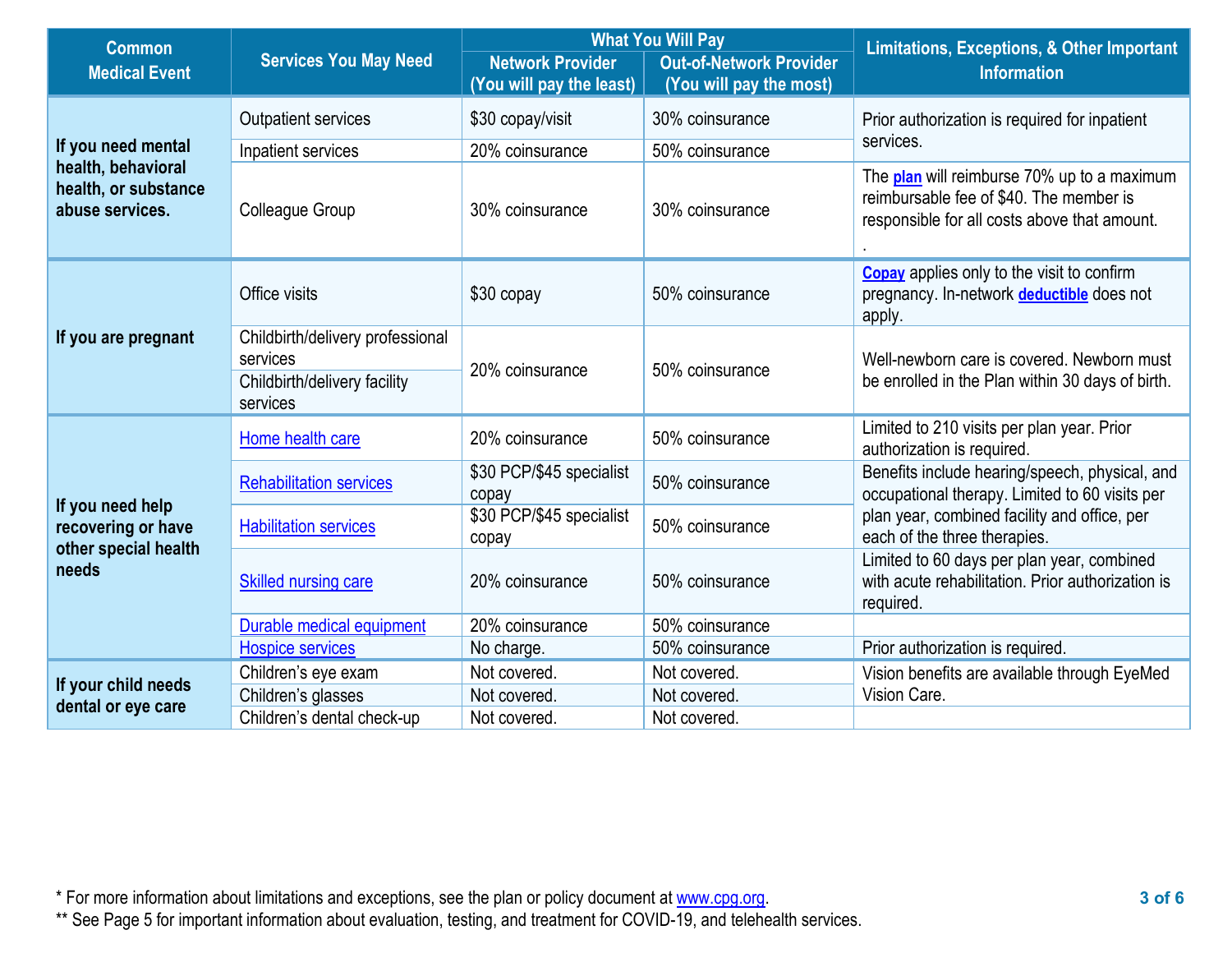| <b>Common</b>                                                 |                                                                                          |                                                     | <b>What You Will Pay</b>                                  | <b>Limitations, Exceptions, &amp; Other Important</b>                                                                                  |  |
|---------------------------------------------------------------|------------------------------------------------------------------------------------------|-----------------------------------------------------|-----------------------------------------------------------|----------------------------------------------------------------------------------------------------------------------------------------|--|
| <b>Medical Event</b>                                          | <b>Services You May Need</b>                                                             | <b>Network Provider</b><br>(You will pay the least) | <b>Out-of-Network Provider</b><br>(You will pay the most) | <b>Information</b>                                                                                                                     |  |
|                                                               | Outpatient services                                                                      | \$30 copay/visit                                    | 30% coinsurance                                           | Prior authorization is required for inpatient                                                                                          |  |
| If you need mental                                            | Inpatient services                                                                       | 20% coinsurance                                     | 50% coinsurance                                           | services.                                                                                                                              |  |
| health, behavioral<br>health, or substance<br>abuse services. | Colleague Group                                                                          | 30% coinsurance                                     | 30% coinsurance                                           | The plan will reimburse 70% up to a maximum<br>reimbursable fee of \$40. The member is<br>responsible for all costs above that amount. |  |
|                                                               | Office visits                                                                            | \$30 copay                                          | 50% coinsurance                                           | <b>Copay</b> applies only to the visit to confirm<br>pregnancy. In-network deductible does not<br>apply.                               |  |
| If you are pregnant                                           | Childbirth/delivery professional<br>services<br>Childbirth/delivery facility<br>services | 20% coinsurance                                     | 50% coinsurance                                           | Well-newborn care is covered. Newborn must<br>be enrolled in the Plan within 30 days of birth.                                         |  |
|                                                               | Home health care                                                                         | 20% coinsurance                                     | 50% coinsurance                                           | Limited to 210 visits per plan year. Prior<br>authorization is required.                                                               |  |
| If you need help                                              | <b>Rehabilitation services</b>                                                           | \$30 PCP/\$45 specialist<br>copay                   | 50% coinsurance                                           | Benefits include hearing/speech, physical, and<br>occupational therapy. Limited to 60 visits per                                       |  |
| recovering or have<br>other special health                    | <b>Habilitation services</b>                                                             | \$30 PCP/\$45 specialist<br>copay                   | 50% coinsurance                                           | plan year, combined facility and office, per<br>each of the three therapies.                                                           |  |
| needs                                                         | <b>Skilled nursing care</b>                                                              | 20% coinsurance                                     | 50% coinsurance                                           | Limited to 60 days per plan year, combined<br>with acute rehabilitation. Prior authorization is<br>required.                           |  |
|                                                               | Durable medical equipment                                                                | 20% coinsurance                                     | 50% coinsurance                                           |                                                                                                                                        |  |
|                                                               | <b>Hospice services</b>                                                                  | No charge.                                          | 50% coinsurance                                           | Prior authorization is required.                                                                                                       |  |
| If your child needs                                           | Children's eye exam                                                                      | Not covered.                                        | Not covered.                                              | Vision benefits are available through EyeMed                                                                                           |  |
| dental or eye care                                            | Children's glasses                                                                       | Not covered.                                        | Not covered.                                              | Vision Care.                                                                                                                           |  |
|                                                               | Children's dental check-up                                                               | Not covered.                                        | Not covered.                                              |                                                                                                                                        |  |

\* For more information about limitations and exceptions, see the plan or policy document at [www.cpg.org.](http://www.cpg.org/) **3 of 6**

\*\* See Page 5 for important information about evaluation, testing, and treatment for COVID-19, and telehealth services.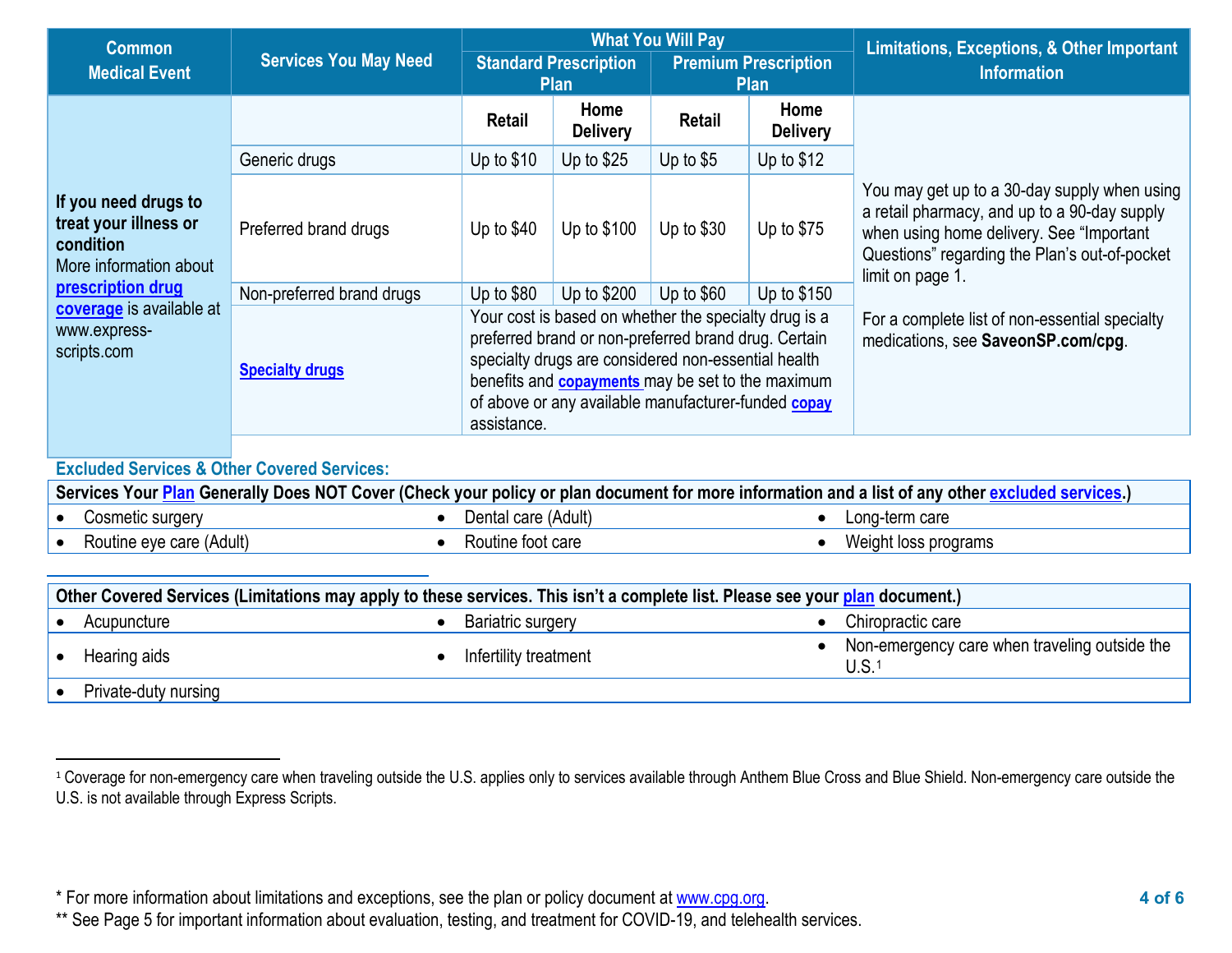<span id="page-3-0"></span>

| <b>Common</b>                                                                        |                                                     |                                                                                                                                                                                                                                                                                                        |                                             | <b>What You Will Pay</b> | Limitations, Exceptions, & Other Important                                           |                                                                                                                                                                                                               |
|--------------------------------------------------------------------------------------|-----------------------------------------------------|--------------------------------------------------------------------------------------------------------------------------------------------------------------------------------------------------------------------------------------------------------------------------------------------------------|---------------------------------------------|--------------------------|--------------------------------------------------------------------------------------|---------------------------------------------------------------------------------------------------------------------------------------------------------------------------------------------------------------|
| <b>Services You May Need</b><br><b>Medical Event</b>                                 |                                                     |                                                                                                                                                                                                                                                                                                        | <b>Standard Prescription</b><br><b>Plan</b> |                          | <b>Premium Prescription</b><br><b>Plan</b>                                           | <b>Information</b>                                                                                                                                                                                            |
|                                                                                      |                                                     | <b>Retail</b>                                                                                                                                                                                                                                                                                          | Home<br><b>Delivery</b>                     | Retail                   | Home<br><b>Delivery</b>                                                              |                                                                                                                                                                                                               |
|                                                                                      | Generic drugs                                       | Up to $$10$                                                                                                                                                                                                                                                                                            | Up to $$25$                                 | Up to $$5$               | Up to $$12$                                                                          |                                                                                                                                                                                                               |
| If you need drugs to<br>treat your illness or<br>condition<br>More information about | Preferred brand drugs                               | Up to $$40$                                                                                                                                                                                                                                                                                            | Up to \$100                                 | Up to $$30$              | Up to $$75$                                                                          | You may get up to a 30-day supply when using<br>a retail pharmacy, and up to a 90-day supply<br>when using home delivery. See "Important"<br>Questions" regarding the Plan's out-of-pocket<br>limit on page 1 |
| prescription drug                                                                    | Non-preferred brand drugs<br><b>Specialty drugs</b> | Up to \$80                                                                                                                                                                                                                                                                                             | Up to \$200                                 | Up to $$60$              | Up to $$150$                                                                         |                                                                                                                                                                                                               |
| coverage is available at<br>www.express-<br>scripts.com                              |                                                     | Your cost is based on whether the specialty drug is a<br>preferred brand or non-preferred brand drug. Certain<br>specialty drugs are considered non-essential health<br>benefits and <b>copayments</b> may be set to the maximum<br>of above or any available manufacturer-funded copay<br>assistance. |                                             |                          | For a complete list of non-essential specialty<br>medications, see SaveonSP.com/cpg. |                                                                                                                                                                                                               |

# **Excluded Services & Other Covered Services:**

| Services Your Plan Generally Does NOT Cover (Check your policy or plan document for more information and a list of any other excluded services.) |                          |  |                     |  |                      |
|--------------------------------------------------------------------------------------------------------------------------------------------------|--------------------------|--|---------------------|--|----------------------|
|                                                                                                                                                  | Cosmetic surgery         |  | Dental care (Adult) |  | Long-term care       |
|                                                                                                                                                  | Routine eye care (Adult) |  | Routine foot care   |  | Weight loss programs |

| Other Covered Services (Limitations may apply to these services. This isn't a complete list. Please see your plan document.) |                      |  |                          |  |                                                       |
|------------------------------------------------------------------------------------------------------------------------------|----------------------|--|--------------------------|--|-------------------------------------------------------|
|                                                                                                                              | Acupuncture          |  | <b>Bariatric surgery</b> |  | Chiropractic care                                     |
|                                                                                                                              | Hearing aids         |  | Infertility treatment    |  | Non-emergency care when traveling outside the<br>U.S. |
|                                                                                                                              | Private-duty nursing |  |                          |  |                                                       |

<sup>&</sup>lt;sup>1</sup> Coverage for non-emergency care when traveling outside the U.S. applies only to services available through Anthem Blue Cross and Blue Shield. Non-emergency care outside the U.S. is not available through Express Scripts.

<sup>\*</sup> For more information about limitations and exceptions, see the plan or policy document at [www.cpg.org.](http://www.cpg.org/) **4 of 6**

<sup>\*\*</sup> See Page 5 for important information about evaluation, testing, and treatment for COVID-19, and telehealth services.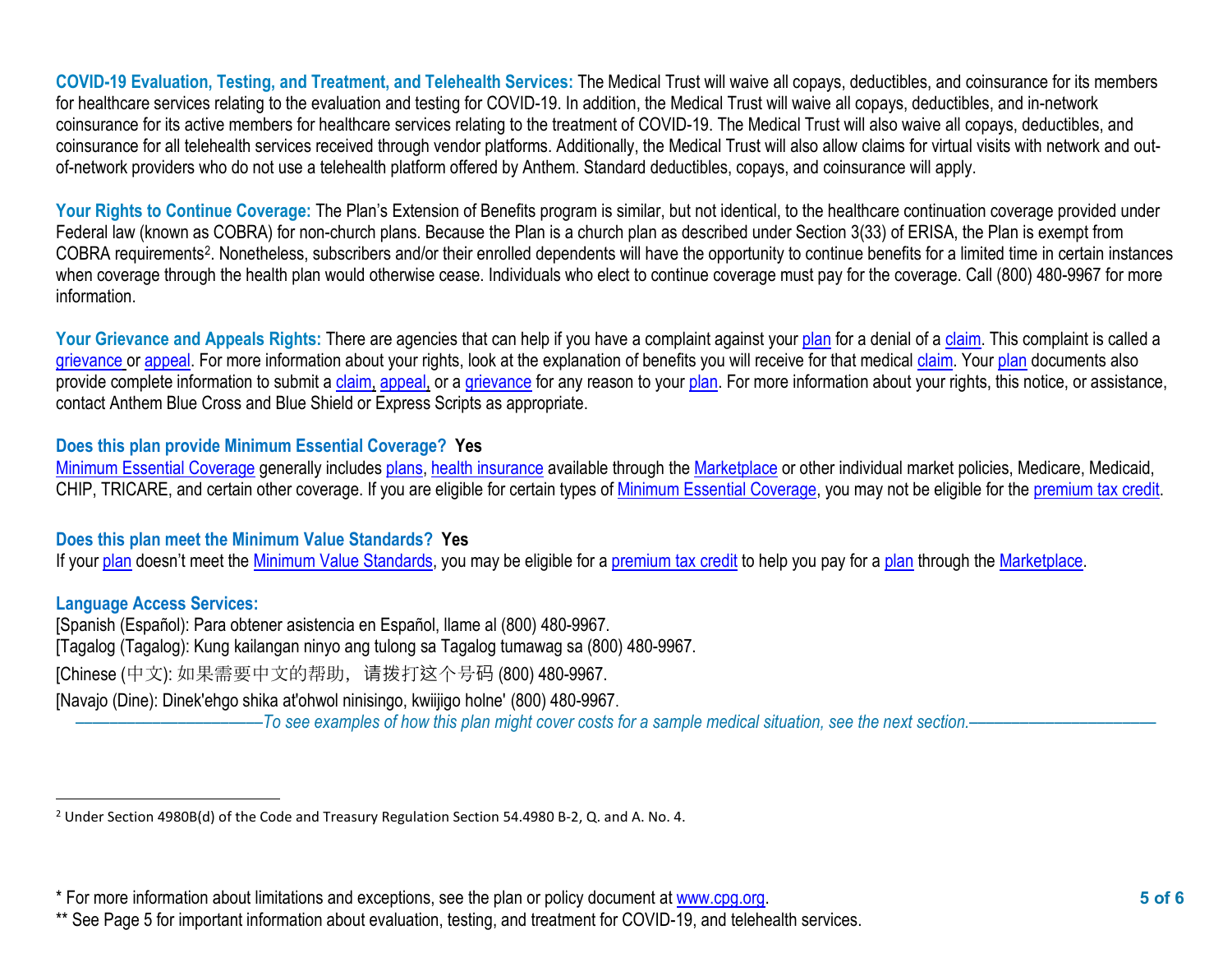<span id="page-4-0"></span>**COVID-19 Evaluation, Testing, and Treatment, and Telehealth Services:** The Medical Trust will waive all copays, deductibles, and coinsurance for its members for healthcare services relating to the evaluation and testing for COVID-19. In addition, the Medical Trust will waive all copays, deductibles, and in-network coinsurance for its active members for healthcare services relating to the treatment of COVID-19. The Medical Trust will also waive all copays, deductibles, and coinsurance for all telehealth services received through vendor platforms. Additionally, the Medical Trust will also allow claims for virtual visits with network and outof-network providers who do not use a telehealth platform offered by Anthem. Standard deductibles, copays, and coinsurance will apply.

Your Rights to Continue Coverage: The Plan's Extension of Benefits program is similar, but not identical, to the healthcare continuation coverage provided under Federal law (known as COBRA) for non-church plans. Because the Plan is a church plan as described under Section 3(33) of ERISA, the Plan is exempt from COBRA requirements[2](#page-4-0). Nonetheless, subscribers and/or their enrolled dependents will have the opportunity to continue benefits for a limited time in certain instances when coverage through the health plan would otherwise cease. Individuals who elect to continue coverage must pay for the coverage. Call (800) 480-9967 for more information.

Your Grievance and Appeals Rights: There are agencies that can help if you have a complaint against you[r plan](https://www.healthcare.gov/sbc-glossary/#plan) for a denial of a [claim.](https://www.healthcare.gov/sbc-glossary/#claim) This complaint is called a [grievance](https://www.healthcare.gov/sbc-glossary/#grievance) or [appeal.](https://www.healthcare.gov/sbc-glossary/#appeal) For more information about your rights, look at the explanation of benefits you will receive for that medica[l claim.](https://www.healthcare.gov/sbc-glossary/#claim) Your [plan](https://www.healthcare.gov/sbc-glossary/#plan) documents also provide complete information to submit a [claim,](https://www.healthcare.gov/sbc-glossary/#claim) [appeal,](https://www.healthcare.gov/sbc-glossary/#appeal) or a [grievance](https://www.healthcare.gov/sbc-glossary/#grievance) for any reason to your [plan.](https://www.healthcare.gov/sbc-glossary/#plan) For more information about your rights, this notice, or assistance, contact Anthem Blue Cross and Blue Shield or Express Scripts as appropriate.

## **Does this plan provide Minimum Essential Coverage? Yes**

[Minimum Essential Coverage](https://www.healthcare.gov/sbc-glossary/#minimum-essential-coverage) generally includes [plans,](https://www.healthcare.gov/sbc-glossary/#plan) [health insurance](https://www.healthcare.gov/sbc-glossary/#health-insurance) available through the [Marketplace](https://www.healthcare.gov/sbc-glossary/#marketplace) or other individual market policies, Medicare, Medicaid, CHIP, TRICARE, and certain other coverage. If you are eligible for certain types of [Minimum Essential Coverage,](https://www.healthcare.gov/sbc-glossary/#minimum-essential-coverage) you may not be eligible for the [premium tax credit.](https://www.healthcare.gov/sbc-glossary/#premium-tax-credits)

#### **Does this plan meet the Minimum Value Standards? Yes**

If your [plan](https://www.healthcare.gov/sbc-glossary/#plan) doesn't meet the [Minimum Value Standards,](https://www.healthcare.gov/sbc-glossary/#minimum-value-standard) you may be eligible for a [premium tax credit](https://www.healthcare.gov/sbc-glossary/#premium-tax-credits) to help you pay for a plan through the [Marketplace.](https://www.healthcare.gov/sbc-glossary/#marketplace)

#### **Language Access Services:**

[Spanish (Español): Para obtener asistencia en Español, llame al (800) 480-9967. [Tagalog (Tagalog): Kung kailangan ninyo ang tulong sa Tagalog tumawag sa (800) 480-9967. [Chinese (中文): 如果需要中文的帮助,请拨打这个号码 (800) 480-9967. [Navajo (Dine): Dinek'ehgo shika at'ohwol ninisingo, kwiijigo holne' (800) 480-9967.

––––––––––––––––––––––*To see examples of how this plan might cover costs for a sample medical situation, see the next section.–––––––––––*–––––––––––

<sup>2</sup> Under Section 4980B(d) of the Code and Treasury Regulation Section 54.4980 B-2, Q. and A. No. 4.

<sup>\*</sup> For more information about limitations and exceptions, see the plan or policy document at [www.cpg.org.](http://www.cpg.org/) **5 of 6**

<sup>\*\*</sup> See Page 5 for important information about evaluation, testing, and treatment for COVID-19, and telehealth services.